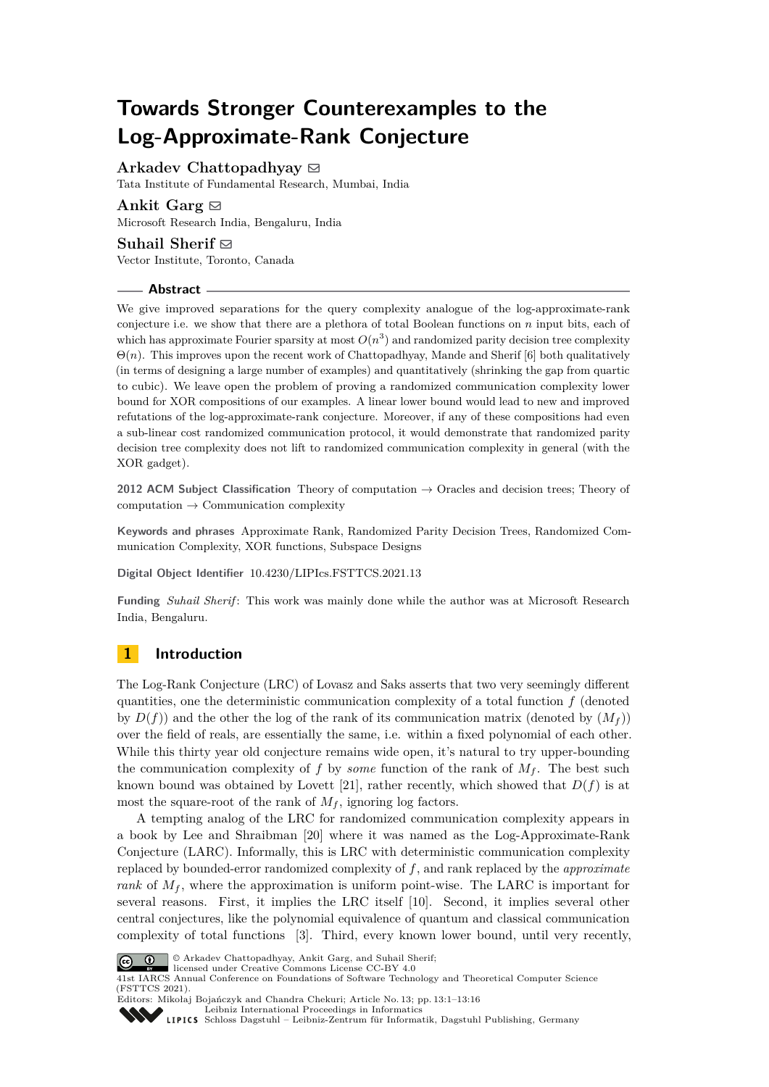# **Towards Stronger Counterexamples to the Log-Approximate-Rank Conjecture**

Arkadev Chattopadhyay  $\boxtimes$ 

Tata Institute of Fundamental Research, Mumbai, India

# Ankit Garg $\boxtimes$

Microsoft Research India, Bengaluru, India

## **Suhail Sherif**  $\boxdot$

Vector Institute, Toronto, Canada

## **Abstract**

We give improved separations for the query complexity analogue of the log-approximate-rank conjecture i.e. we show that there are a plethora of total Boolean functions on *n* input bits, each of which has approximate Fourier sparsity at most  $O(n^3)$  and randomized parity decision tree complexity Θ(*n*). This improves upon the recent work of Chattopadhyay, Mande and Sherif [\[6\]](#page-14-0) both qualitatively (in terms of designing a large number of examples) and quantitatively (shrinking the gap from quartic to cubic). We leave open the problem of proving a randomized communication complexity lower bound for XOR compositions of our examples. A linear lower bound would lead to new and improved refutations of the log-approximate-rank conjecture. Moreover, if any of these compositions had even a sub-linear cost randomized communication protocol, it would demonstrate that randomized parity decision tree complexity does not lift to randomized communication complexity in general (with the XOR gadget).

**2012 ACM Subject Classification** Theory of computation → Oracles and decision trees; Theory of  $computation \rightarrow Communication complexity$ 

**Keywords and phrases** Approximate Rank, Randomized Parity Decision Trees, Randomized Communication Complexity, XOR functions, Subspace Designs

**Digital Object Identifier** [10.4230/LIPIcs.FSTTCS.2021.13](https://doi.org/10.4230/LIPIcs.FSTTCS.2021.13)

**Funding** *Suhail Sherif* : This work was mainly done while the author was at Microsoft Research India, Bengaluru.

# **1 Introduction**

The Log-Rank Conjecture (LRC) of Lovasz and Saks asserts that two very seemingly different quantities, one the deterministic communication complexity of a total function *f* (denoted by  $D(f)$  and the other the log of the rank of its communication matrix (denoted by  $(M_f)$ ) over the field of reals, are essentially the same, i.e. within a fixed polynomial of each other. While this thirty year old conjecture remains wide open, it's natural to try upper-bounding the communication complexity of f by *some* function of the rank of  $M_f$ . The best such known bound was obtained by Lovett [\[21\]](#page-15-0), rather recently, which showed that  $D(f)$  is at most the square-root of the rank of  $M_f$ , ignoring log factors.

A tempting analog of the LRC for randomized communication complexity appears in a book by Lee and Shraibman [\[20\]](#page-15-1) where it was named as the Log-Approximate-Rank Conjecture (LARC). Informally, this is LRC with deterministic communication complexity replaced by bounded-error randomized complexity of *f*, and rank replaced by the *approximate rank* of  $M_f$ , where the approximation is uniform point-wise. The LARC is important for several reasons. First, it implies the LRC itself [\[10\]](#page-14-1). Second, it implies several other central conjectures, like the polynomial equivalence of quantum and classical communication complexity of total functions [\[3\]](#page-14-2). Third, every known lower bound, until very recently,



© Arkadev Chattopadhyay, Ankit Garg, and Suhail Sherif; licensed under Creative Commons License CC-BY 4.0

41st IARCS Annual Conference on Foundations of Software Technology and Theoretical Computer Science (FSTTCS 2021). Editors: Mikołaj Bojańczyk and Chandra Chekuri; Article No. 13; pp. 13:1–13:16

[Leibniz International Proceedings in Informatics](https://www.dagstuhl.de/lipics/)

[Schloss Dagstuhl – Leibniz-Zentrum für Informatik, Dagstuhl Publishing, Germany](https://www.dagstuhl.de)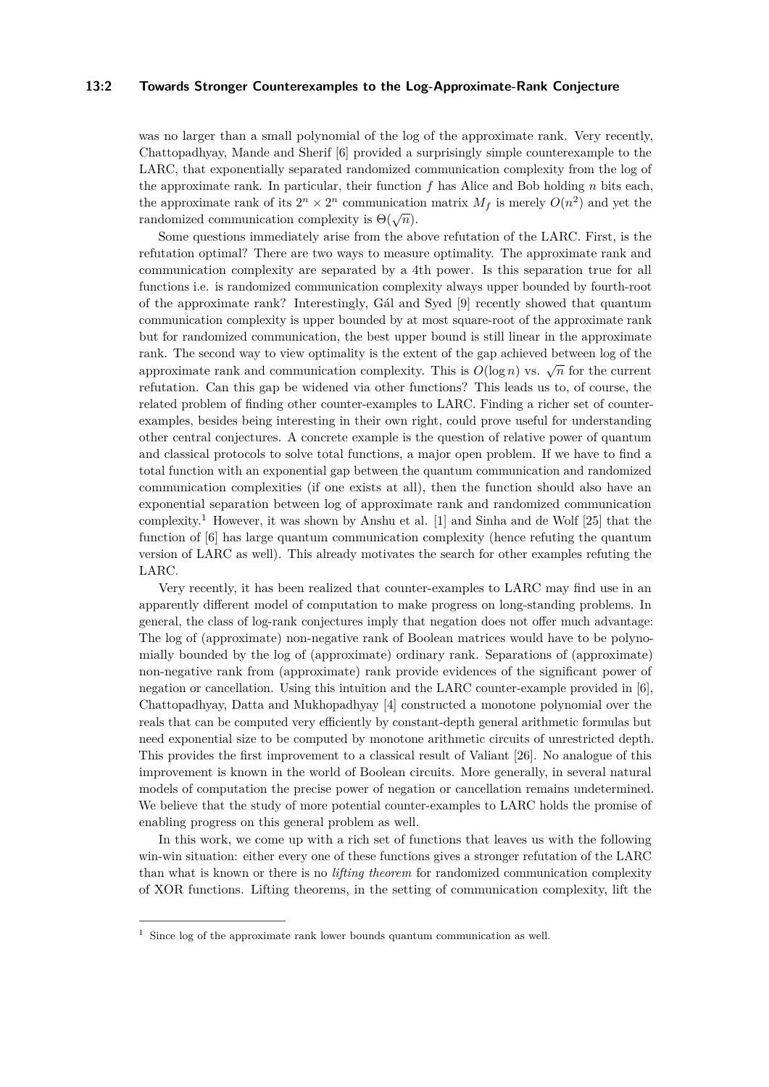#### **13:2 Towards Stronger Counterexamples to the Log-Approximate-Rank Conjecture**

was no larger than a small polynomial of the log of the approximate rank. Very recently, Chattopadhyay, Mande and Sherif [\[6\]](#page-14-0) provided a surprisingly simple counterexample to the LARC, that exponentially separated randomized communication complexity from the log of the approximate rank. In particular, their function *f* has Alice and Bob holding *n* bits each, the approximate rank of its  $2^n \times 2^n$  communication matrix  $M_f$  is merely  $O(n^2)$  and yet the randomized communication complexity is  $\Theta(\sqrt{n})$ .

Some questions immediately arise from the above refutation of the LARC. First, is the refutation optimal? There are two ways to measure optimality. The approximate rank and communication complexity are separated by a 4th power. Is this separation true for all functions i.e. is randomized communication complexity always upper bounded by fourth-root of the approximate rank? Interestingly, Gál and Syed [\[9\]](#page-14-3) recently showed that quantum communication complexity is upper bounded by at most square-root of the approximate rank but for randomized communication, the best upper bound is still linear in the approximate rank. The second way to view optimality is the extent of the gap achieved between log of the approximate rank and communication complexity. This is  $O(\log n)$  vs.  $\sqrt{n}$  for the current refutation. Can this gap be widened via other functions? This leads us to, of course, the related problem of finding other counter-examples to LARC. Finding a richer set of counterexamples, besides being interesting in their own right, could prove useful for understanding other central conjectures. A concrete example is the question of relative power of quantum and classical protocols to solve total functions, a major open problem. If we have to find a total function with an exponential gap between the quantum communication and randomized communication complexities (if one exists at all), then the function should also have an exponential separation between log of approximate rank and randomized communication complexity.<sup>[1](#page-1-0)</sup> However, it was shown by Anshu et al. [\[1\]](#page-14-4) and Sinha and de Wolf [\[25\]](#page-15-2) that the function of [\[6\]](#page-14-0) has large quantum communication complexity (hence refuting the quantum version of LARC as well). This already motivates the search for other examples refuting the LARC.

Very recently, it has been realized that counter-examples to LARC may find use in an apparently different model of computation to make progress on long-standing problems. In general, the class of log-rank conjectures imply that negation does not offer much advantage: The log of (approximate) non-negative rank of Boolean matrices would have to be polynomially bounded by the log of (approximate) ordinary rank. Separations of (approximate) non-negative rank from (approximate) rank provide evidences of the significant power of negation or cancellation. Using this intuition and the LARC counter-example provided in [\[6\]](#page-14-0), Chattopadhyay, Datta and Mukhopadhyay [\[4\]](#page-14-5) constructed a monotone polynomial over the reals that can be computed very efficiently by constant-depth general arithmetic formulas but need exponential size to be computed by monotone arithmetic circuits of unrestricted depth. This provides the first improvement to a classical result of Valiant [\[26\]](#page-15-3). No analogue of this improvement is known in the world of Boolean circuits. More generally, in several natural models of computation the precise power of negation or cancellation remains undetermined. We believe that the study of more potential counter-examples to LARC holds the promise of enabling progress on this general problem as well.

In this work, we come up with a rich set of functions that leaves us with the following win-win situation: either every one of these functions gives a stronger refutation of the LARC than what is known or there is no *lifting theorem* for randomized communication complexity of XOR functions. Lifting theorems, in the setting of communication complexity, lift the

<span id="page-1-0"></span> $1$  Since log of the approximate rank lower bounds quantum communication as well.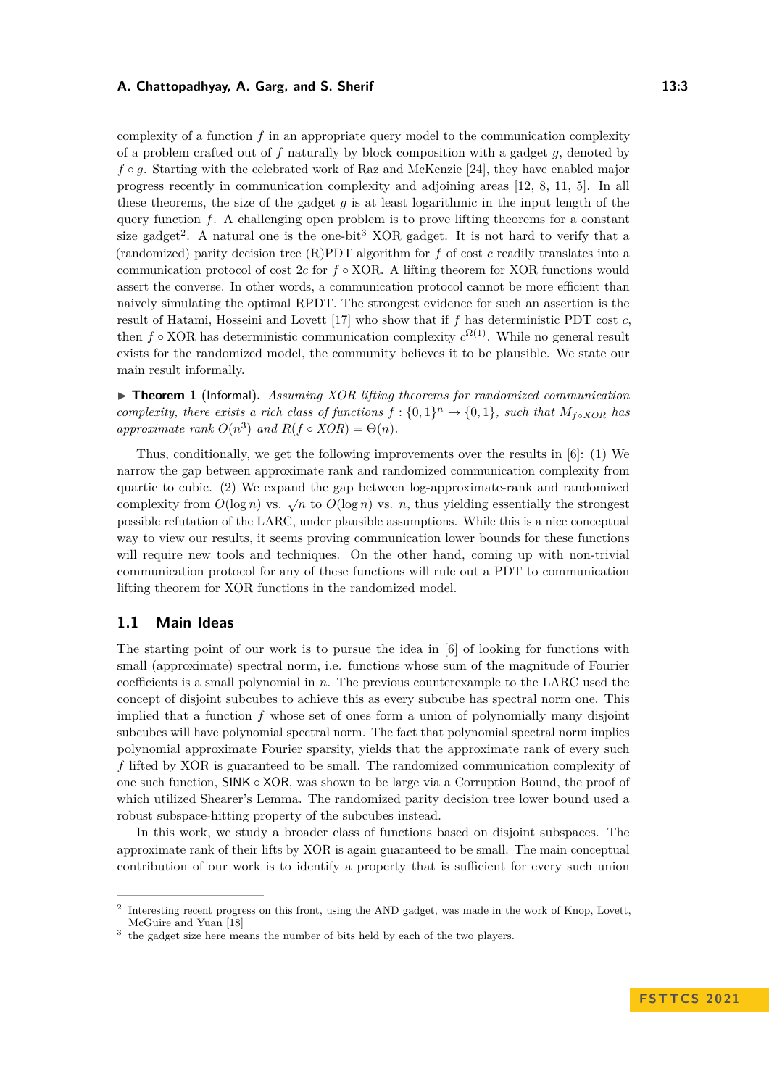#### **A. Chattopadhyay, A. Garg, and S. Sherif 13:3 13:3**

complexity of a function *f* in an appropriate query model to the communication complexity of a problem crafted out of *f* naturally by block composition with a gadget *g*, denoted by *f* ◦ *q*. Starting with the celebrated work of Raz and McKenzie [\[24\]](#page-15-4), they have enabled major progress recently in communication complexity and adjoining areas [\[12,](#page-14-6) [8,](#page-14-7) [11,](#page-14-8) [5\]](#page-14-9). In all these theorems, the size of the gadget *g* is at least logarithmic in the input length of the query function *f*. A challenging open problem is to prove lifting theorems for a constant size gadget<sup>[2](#page-2-0)</sup>. A natural one is the one-bit<sup>[3](#page-2-1)</sup> XOR gadget. It is not hard to verify that a (randomized) parity decision tree (R)PDT algorithm for *f* of cost *c* readily translates into a communication protocol of cost 2*c* for *f* ◦ XOR. A lifting theorem for XOR functions would assert the converse. In other words, a communication protocol cannot be more efficient than naively simulating the optimal RPDT. The strongest evidence for such an assertion is the result of Hatami, Hosseini and Lovett [\[17\]](#page-15-5) who show that if *f* has deterministic PDT cost *c*, then  $f \circ XOR$  has deterministic communication complexity  $c^{\Omega(1)}$ . While no general result exists for the randomized model, the community believes it to be plausible. We state our main result informally.

▶ **Theorem 1** (Informal). *Assuming XOR lifting theorems for randomized communication complexity, there exists a rich class of functions*  $f: \{0,1\}^n \to \{0,1\}$ *, such that*  $M_{f \circ XOR}$  *has approximate rank*  $O(n^3)$  *and*  $R(f \circ XOR) = \Theta(n)$ *.* 

Thus, conditionally, we get the following improvements over the results in [\[6\]](#page-14-0): (1) We narrow the gap between approximate rank and randomized communication complexity from quartic to cubic. (2) We expand the gap between log-approximate-rank and randomized complexity from  $O(\log n)$  vs.  $\sqrt{n}$  to  $O(\log n)$  vs. *n*, thus yielding essentially the strongest possible refutation of the LARC, under plausible assumptions. While this is a nice conceptual way to view our results, it seems proving communication lower bounds for these functions will require new tools and techniques. On the other hand, coming up with non-trivial communication protocol for any of these functions will rule out a PDT to communication lifting theorem for XOR functions in the randomized model.

## **1.1 Main Ideas**

The starting point of our work is to pursue the idea in [\[6\]](#page-14-0) of looking for functions with small (approximate) spectral norm, i.e. functions whose sum of the magnitude of Fourier coefficients is a small polynomial in *n*. The previous counterexample to the LARC used the concept of disjoint subcubes to achieve this as every subcube has spectral norm one. This implied that a function *f* whose set of ones form a union of polynomially many disjoint subcubes will have polynomial spectral norm. The fact that polynomial spectral norm implies polynomial approximate Fourier sparsity, yields that the approximate rank of every such *f* lifted by XOR is guaranteed to be small. The randomized communication complexity of one such function, SINK ◦ XOR, was shown to be large via a Corruption Bound, the proof of which utilized Shearer's Lemma. The randomized parity decision tree lower bound used a robust subspace-hitting property of the subcubes instead.

In this work, we study a broader class of functions based on disjoint subspaces. The approximate rank of their lifts by XOR is again guaranteed to be small. The main conceptual contribution of our work is to identify a property that is sufficient for every such union

<span id="page-2-0"></span><sup>2</sup> Interesting recent progress on this front, using the AND gadget, was made in the work of Knop, Lovett, McGuire and Yuan [\[18\]](#page-15-6)

<span id="page-2-1"></span><sup>&</sup>lt;sup>3</sup> the gadget size here means the number of bits held by each of the two players.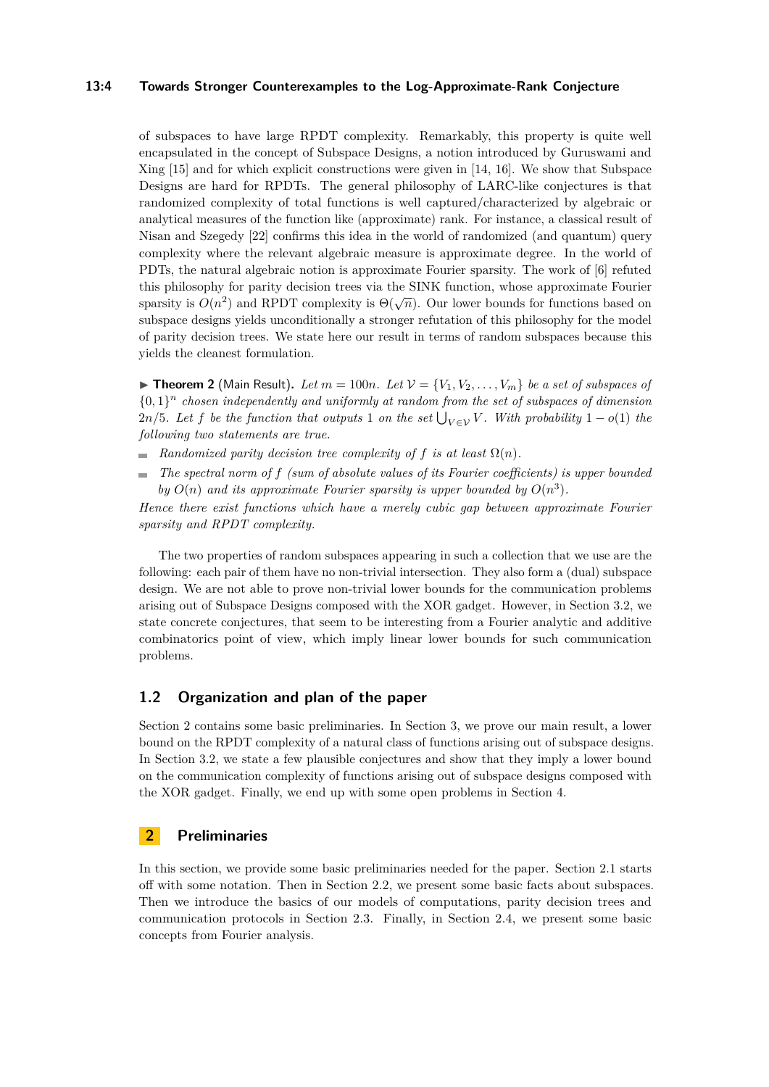## **13:4 Towards Stronger Counterexamples to the Log-Approximate-Rank Conjecture**

of subspaces to have large RPDT complexity. Remarkably, this property is quite well encapsulated in the concept of Subspace Designs, a notion introduced by Guruswami and Xing [\[15\]](#page-15-7) and for which explicit constructions were given in [\[14,](#page-14-10) [16\]](#page-15-8). We show that Subspace Designs are hard for RPDTs. The general philosophy of LARC-like conjectures is that randomized complexity of total functions is well captured/characterized by algebraic or analytical measures of the function like (approximate) rank. For instance, a classical result of Nisan and Szegedy [\[22\]](#page-15-9) confirms this idea in the world of randomized (and quantum) query complexity where the relevant algebraic measure is approximate degree. In the world of PDTs, the natural algebraic notion is approximate Fourier sparsity. The work of [\[6\]](#page-14-0) refuted this philosophy for parity decision trees via the SINK function, whose approximate Fourier sparsity is  $O(n^2)$  and RPDT complexity is  $\Theta(\sqrt{n})$ . Our lower bounds for functions based on subspace designs yields unconditionally a stronger refutation of this philosophy for the model of parity decision trees. We state here our result in terms of random subspaces because this yields the cleanest formulation.

 $\blacktriangleright$  **Theorem 2** (Main Result). Let  $m = 100n$ . Let  $\mathcal{V} = \{V_1, V_2, \ldots, V_m\}$  be a set of subspaces of  ${0,1}<sup>n</sup>$  *chosen independently and uniformly at random from the set of subspaces of dimension*  $2n/5$ *. Let f be the function that outputs* 1 *on the set*  $\bigcup_{V \in \mathcal{V}} V$ *. With probability* 1 – *o*(1) *the following two statements are true.*

- **Randomized parity decision tree complexity of f is at least**  $\Omega(n)$ **.**
- *The spectral norm of f (sum of absolute values of its Fourier coefficients) is upper bounded*  $\frac{1}{2}$ *by*  $O(n)$  *and its approximate Fourier sparsity is upper bounded by*  $O(n^3)$ *.*

*Hence there exist functions which have a merely cubic gap between approximate Fourier sparsity and RPDT complexity.*

The two properties of random subspaces appearing in such a collection that we use are the following: each pair of them have no non-trivial intersection. They also form a (dual) subspace design. We are not able to prove non-trivial lower bounds for the communication problems arising out of Subspace Designs composed with the XOR gadget. However, in Section [3.2,](#page-10-0) we state concrete conjectures, that seem to be interesting from a Fourier analytic and additive combinatorics point of view, which imply linear lower bounds for such communication problems.

## **1.2 Organization and plan of the paper**

Section [2](#page-3-0) contains some basic preliminaries. In Section [3,](#page-7-0) we prove our main result, a lower bound on the RPDT complexity of a natural class of functions arising out of subspace designs. In Section [3.2,](#page-10-0) we state a few plausible conjectures and show that they imply a lower bound on the communication complexity of functions arising out of subspace designs composed with the XOR gadget. Finally, we end up with some open problems in Section [4.](#page-13-0)

## <span id="page-3-0"></span>**2 Preliminaries**

In this section, we provide some basic preliminaries needed for the paper. Section [2.1](#page-4-0) starts off with some notation. Then in Section [2.2,](#page-4-1) we present some basic facts about subspaces. Then we introduce the basics of our models of computations, parity decision trees and communication protocols in Section [2.3.](#page-5-0) Finally, in Section [2.4,](#page-6-0) we present some basic concepts from Fourier analysis.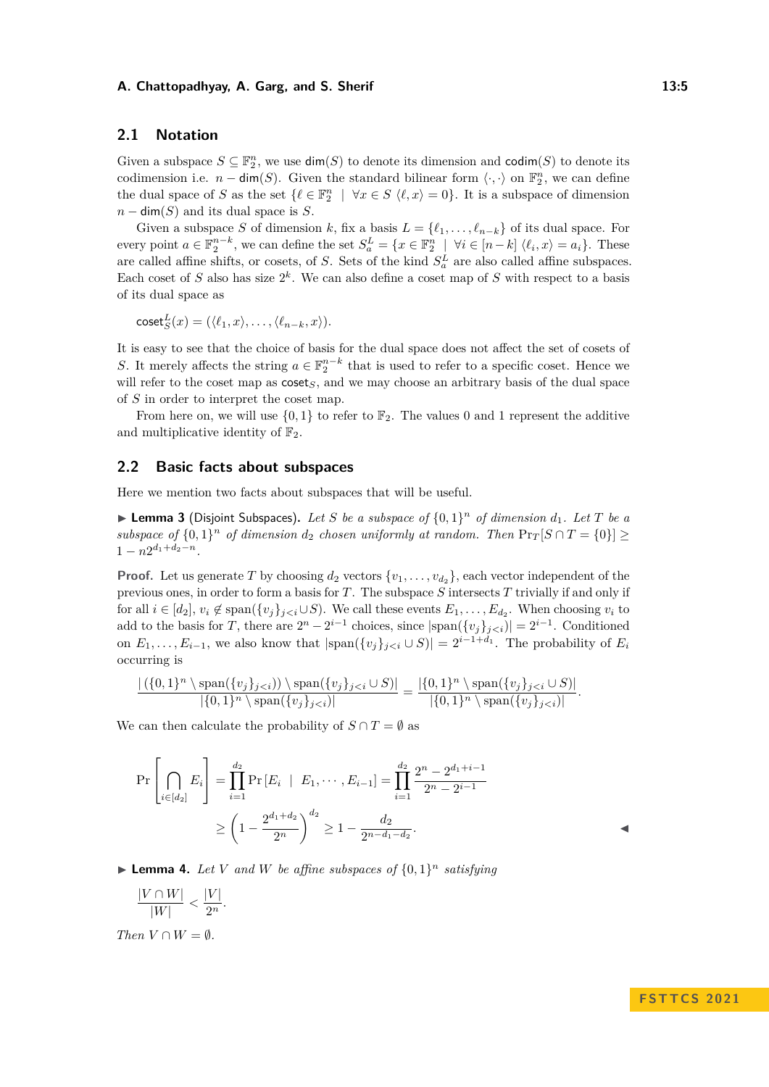### **A. Chattopadhyay, A. Garg, and S. Sherif 13:5 13:5**

## <span id="page-4-0"></span>**2.1 Notation**

Given a subspace  $S \subseteq \mathbb{F}_2^n$ , we use  $\dim(S)$  to denote its dimension and  $\text{codim}(S)$  to denote its codimension i.e.  $n - \dim(S)$ . Given the standard bilinear form  $\langle \cdot, \cdot \rangle$  on  $\mathbb{F}_2^n$ , we can define the dual space of *S* as the set  $\{\ell \in \mathbb{F}_2^n \mid \forall x \in S \ \langle \ell, x \rangle = 0\}$ . It is a subspace of dimension  $n - \dim(S)$  and its dual space is *S*.

Given a subspace *S* of dimension *k*, fix a basis  $L = \{\ell_1, \ldots, \ell_{n-k}\}\$  of its dual space. For every point  $a \in \mathbb{F}_2^{n-k}$ , we can define the set  $S_a^L = \{x \in \mathbb{F}_2^n \mid \forall i \in [n-k] \langle \ell_i, x \rangle = a_i \}$ . These are called affine shifts, or cosets, of *S*. Sets of the kind  $S_a^L$  are also called affine subspaces. Each coset of  $S$  also has size  $2^k$ . We can also define a coset map of  $S$  with respect to a basis of its dual space as

$$
coset_S^L(x) = (\langle \ell_1, x \rangle, \ldots, \langle \ell_{n-k}, x \rangle).
$$

It is easy to see that the choice of basis for the dual space does not affect the set of cosets of *S*. It merely affects the string  $a \in \mathbb{F}_2^{n-k}$  that is used to refer to a specific coset. Hence we will refer to the coset map as  $\csc s$ , and we may choose an arbitrary basis of the dual space of *S* in order to interpret the coset map.

From here on, we will use  $\{0,1\}$  to refer to  $\mathbb{F}_2$ . The values 0 and 1 represent the additive and multiplicative identity of  $\mathbb{F}_2$ .

## <span id="page-4-1"></span>**2.2 Basic facts about subspaces**

Here we mention two facts about subspaces that will be useful.

<span id="page-4-3"></span> $\blacktriangleright$  **Lemma 3** (Disjoint Subspaces). Let *S* be a subspace of  $\{0,1\}^n$  of dimension  $d_1$ . Let *T* be a *subspace of*  $\{0,1\}$ <sup>*n*</sup> *of dimension d*<sub>2</sub> *chosen uniformly at random. Then*  $\Pr_T[S \cap T = \{0\}] \ge$  $1 - n2^{d_1 + d_2 - n}$ .

**Proof.** Let us generate *T* by choosing  $d_2$  vectors  $\{v_1, \ldots, v_{d_2}\}$ , each vector independent of the previous ones, in order to form a basis for *T*. The subspace *S* intersects *T* trivially if and only if for all  $i \in [d_2], v_i \notin \text{span}(\{v_j\}_{j \leq i} \cup S)$ . We call these events  $E_1, \ldots, E_{d_2}$ . When choosing  $v_i$  to add to the basis for *T*, there are  $2^{n} - 2^{i-1}$  choices, since  $|\text{span}(\{v_j\}_{j. Conditioned$ on  $E_1, \ldots, E_{i-1}$ , we also know that  $|\text{span}(\{v_j\}_{j. The probability of  $E_i$$ occurring is

$$
\frac{|\left(\{0,1\}^n \setminus \text{span}(\{v_j\}_{j
$$

We can then calculate the probability of  $S \cap T = \emptyset$  as

$$
\Pr\left[\bigcap_{i\in[d_2]} E_i\right] = \prod_{i=1}^{d_2} \Pr\left[E_i \mid E_1, \cdots, E_{i-1}\right] = \prod_{i=1}^{d_2} \frac{2^n - 2^{d_1 + i - 1}}{2^n - 2^{i-1}}
$$
\n
$$
\ge \left(1 - \frac{2^{d_1 + d_2}}{2^n}\right)^{d_2} \ge 1 - \frac{d_2}{2^{n - d_1 - d_2}}.
$$

<span id="page-4-2"></span> $\blacktriangleright$  **Lemma 4.** Let V and W be affine subspaces of  $\{0, 1\}^n$  satisfying

$$
\frac{|V\cap W|}{|W|}<\frac{|V|}{2^n}.
$$

*Then*  $V \cap W = \emptyset$ *.*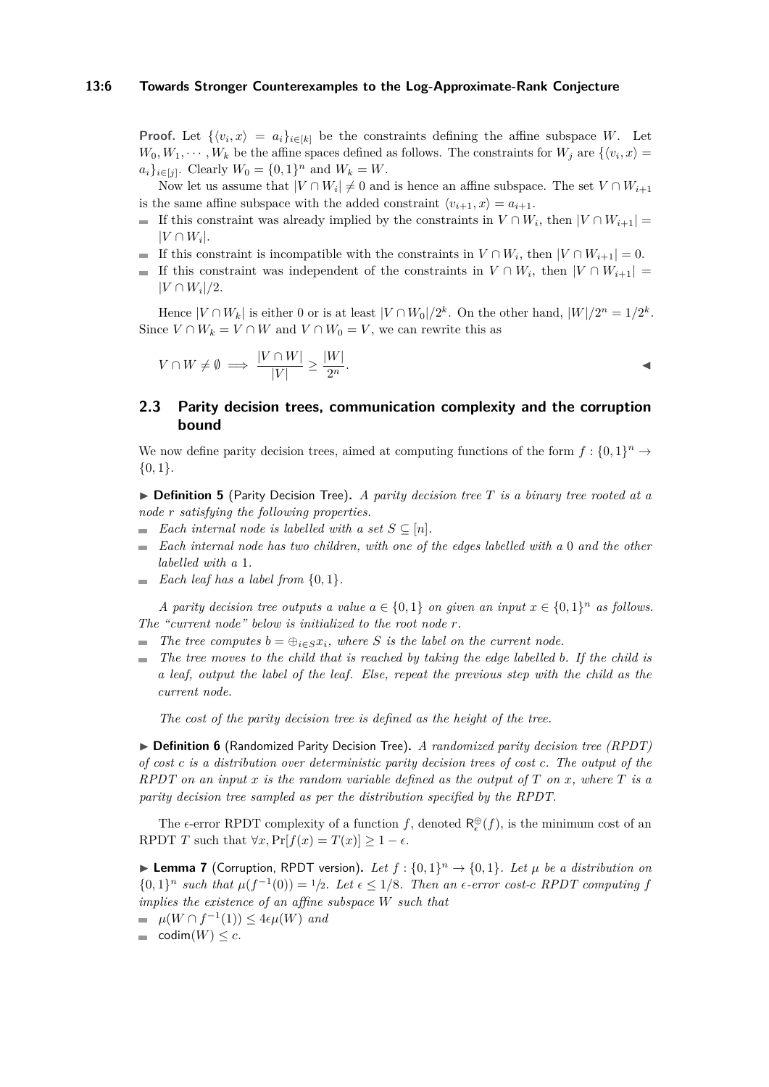#### **13:6 Towards Stronger Counterexamples to the Log-Approximate-Rank Conjecture**

**Proof.** Let  $\{\langle v_i, x \rangle = a_i\}_{i \in [k]}$  be the constraints defining the affine subspace *W*. Let  $W_0, W_1, \cdots, W_k$  be the affine spaces defined as follows. The constraints for  $W_j$  are  $\{\langle v_i, x \rangle =$  $a_i\}_{i \in [j]}$ . Clearly  $W_0 = \{0, 1\}^n$  and  $W_k = W$ .

Now let us assume that  $|V \cap W_i| \neq 0$  and is hence an affine subspace. The set  $V \cap W_{i+1}$ is the same affine subspace with the added constraint  $\langle v_{i+1}, x \rangle = a_{i+1}$ .

- If this constraint was already implied by the constraints in  $V \cap W_i$ , then  $|V \cap W_{i+1}| =$  $|V \cap W_i|$ .
- If this constraint is incompatible with the constraints in  $V \cap W_i$ , then  $|V \cap W_{i+1}| = 0$ .
- If this constraint was independent of the constraints in  $V \cap W_i$ , then  $|V \cap W_{i+1}|$  $|V \cap W_i|/2$ .

Hence  $|V \cap W_k|$  is either 0 or is at least  $|V \cap W_0|/2^k$ . On the other hand,  $|W|/2^n = 1/2^k$ . Since  $V \cap W_k = V \cap W$  and  $V \cap W_0 = V$ , we can rewrite this as

$$
V \cap W \neq \emptyset \implies \frac{|V \cap W|}{|V|} \ge \frac{|W|}{2^n}.
$$

## <span id="page-5-0"></span>**2.3 Parity decision trees, communication complexity and the corruption bound**

We now define parity decision trees, aimed at computing functions of the form  $f: \{0,1\}^n \to$ {0*,* 1}.

▶ **Definition 5** (Parity Decision Tree)**.** *A parity decision tree T is a binary tree rooted at a node r satisfying the following properties.*

- *Each internal node is labelled with a set*  $S \subseteq [n]$ *.*
- *Each internal node has two children, with one of the edges labelled with a* 0 *and the other labelled with a* 1*.*
- $\blacksquare$  *Each leaf has a label from*  $\{0, 1\}$ *.*

*A parity decision tree outputs a value*  $a \in \{0, 1\}$  *on given an input*  $x \in \{0, 1\}^n$  *as follows. The "current node" below is initialized to the root node r.*

- *The tree computes*  $b = \bigoplus_{i \in S} x_i$ , where *S is the label on the current node.*
- *The tree moves to the child that is reached by taking the edge labelled b. If the child is a leaf, output the label of the leaf. Else, repeat the previous step with the child as the current node.*

*The cost of the parity decision tree is defined as the height of the tree.*

▶ **Definition 6** (Randomized Parity Decision Tree)**.** *A randomized parity decision tree (RPDT) of cost c is a distribution over deterministic parity decision trees of cost c. The output of the RPDT on an input x is the random variable defined as the output of T on x, where T is a parity decision tree sampled as per the distribution specified by the RPDT.*

The  $\epsilon$ -error RPDT complexity of a function *f*, denoted  $\mathsf{R}_{\epsilon}^{\oplus}(f)$ , is the minimum cost of an RPDT *T* such that  $\forall x, \Pr[f(x) = T(x)] \geq 1 - \epsilon$ .

<span id="page-5-1"></span>**Example 7** (Corruption, RPDT version). Let  $f : \{0,1\}^n \rightarrow \{0,1\}$ . Let  $\mu$  be a distribution on  $\{0,1\}^n$  such that  $\mu(f^{-1}(0)) = 1/2$ *. Let*  $\epsilon \leq 1/8$ *. Then an*  $\epsilon$ -error cost-*c RPDT* computing *f implies the existence of an affine subspace W such that*

- $\mu(W \cap f^{-1}(1)) \leq 4\epsilon \mu(W)$  *and*
- $= \text{codim}(W) \leq c.$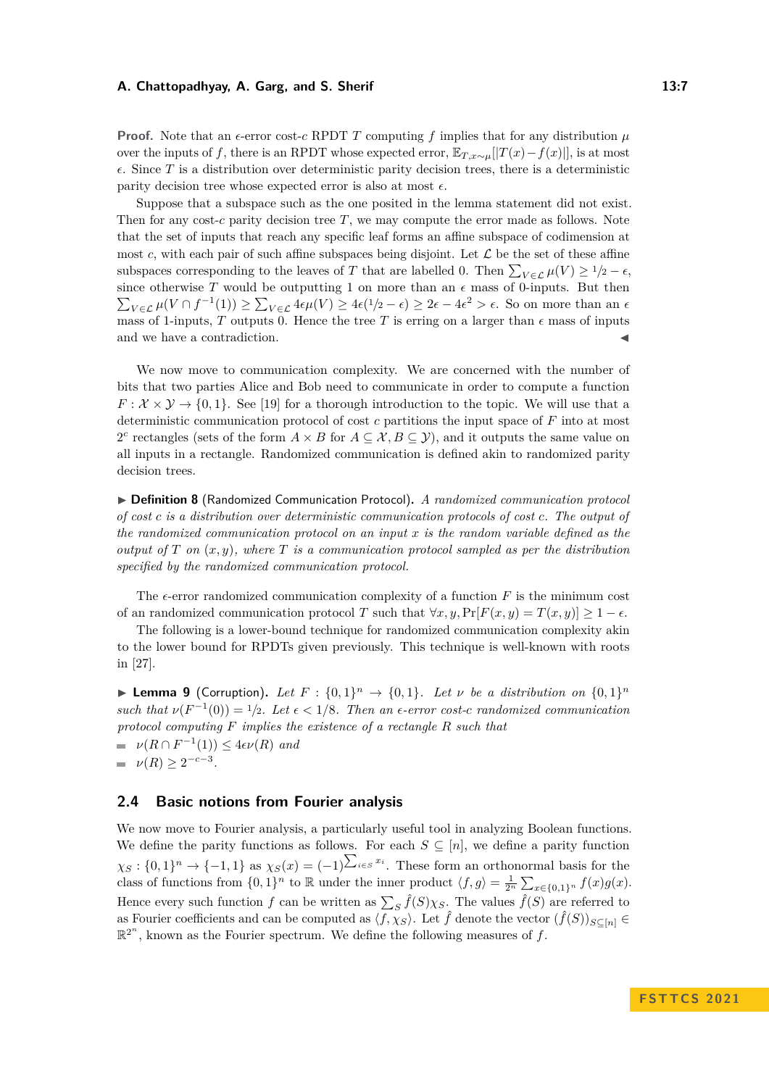#### **A. Chattopadhyay, A. Garg, and S. Sherif 13:7** 13:7

**Proof.** Note that an  $\epsilon$ -error cost-*c* RPDT *T* computing *f* implies that for any distribution  $\mu$ over the inputs of *f*, there is an RPDT whose expected error,  $\mathbb{E}_{T,x\sim\mu}[[T(x)-f(x)]]$ , is at most  $\epsilon$ . Since *T* is a distribution over deterministic parity decision trees, there is a deterministic parity decision tree whose expected error is also at most  $\epsilon$ .

Suppose that a subspace such as the one posited in the lemma statement did not exist. Then for any cost-*c* parity decision tree *T*, we may compute the error made as follows. Note that the set of inputs that reach any specific leaf forms an affine subspace of codimension at most  $c$ , with each pair of such affine subspaces being disjoint. Let  $\mathcal L$  be the set of these affine subspaces corresponding to the leaves of *T* that are labelled 0. Then  $\sum_{V \in \mathcal{L}} \mu(V) \geq 1/2 - \epsilon$ , since otherwise T would be outputting 1 on more than an  $\epsilon$  mass of 0-inputs. But then  $\sum_{V \in \mathcal{L}} \mu(V \cap f^{-1}(1)) \ge \sum_{V \in \mathcal{L}} 4\epsilon \mu(V) \ge 4\epsilon(1/2 - \epsilon) \ge 2\epsilon - 4\epsilon^2 > \epsilon$ . So on more than an  $\epsilon$ mass of 1-inputs, *T* outputs 0. Hence the tree *T* is erring on a larger than  $\epsilon$  mass of inputs and we have a contradiction.

We now move to communication complexity. We are concerned with the number of bits that two parties Alice and Bob need to communicate in order to compute a function  $F: \mathcal{X} \times \mathcal{Y} \rightarrow \{0, 1\}$ . See [\[19\]](#page-15-10) for a thorough introduction to the topic. We will use that a deterministic communication protocol of cost *c* partitions the input space of *F* into at most 2<sup>*c*</sup> rectangles (sets of the form  $A \times B$  for  $A \subseteq \mathcal{X}, B \subseteq \mathcal{Y}$ ), and it outputs the same value on all inputs in a rectangle. Randomized communication is defined akin to randomized parity decision trees.

▶ **Definition 8** (Randomized Communication Protocol)**.** *A randomized communication protocol of cost c is a distribution over deterministic communication protocols of cost c. The output of the randomized communication protocol on an input x is the random variable defined as the output of*  $T$  *on*  $(x, y)$ *, where*  $T$  *is a communication protocol sampled as per the distribution specified by the randomized communication protocol.*

The  $\epsilon$ -error randomized communication complexity of a function  $F$  is the minimum cost of an randomized communication protocol *T* such that  $\forall x, y, \Pr[F(x, y) = T(x, y)] \geq 1 - \epsilon$ .

The following is a lower-bound technique for randomized communication complexity akin to the lower bound for RPDTs given previously. This technique is well-known with roots in [\[27\]](#page-15-11).

<span id="page-6-1"></span>**Example 9** (Corruption). Let  $F: \{0,1\}^n \rightarrow \{0,1\}$ . Let  $\nu$  be a distribution on  $\{0,1\}^n$ *such that*  $\nu(F^{-1}(0)) = 1/2$ *. Let*  $\epsilon < 1/8$ *. Then an*  $\epsilon$ -error cost-*c randomized communication protocol computing F implies the existence of a rectangle R such that*  $\nu(R \cap F^{-1}(1)) \leq 4\epsilon\nu(R)$  *and*  $\nu(R) \geq 2^{-c-3}$ .

## <span id="page-6-0"></span>**2.4 Basic notions from Fourier analysis**

We now move to Fourier analysis, a particularly useful tool in analyzing Boolean functions. We define the parity functions as follows. For each  $S \subseteq [n]$ , we define a parity function  $\chi_S: \{0,1\}^n \to \{-1,1\}$  as  $\chi_S(x) = (-1)^{\sum_{i \in S} x_i}$ . These form an orthonormal basis for the class of functions from  $\{0,1\}^n$  to R under the inner product  $\langle f,g \rangle = \frac{1}{2^n} \sum_{x \in \{0,1\}^n} f(x)g(x)$ . Hence every such function *f* can be written as  $\sum_{S} \hat{f}(S) \chi_S$ . The values  $\hat{f}(S)$  are referred to as Fourier coefficients and can be computed as  $\langle f, \chi_S \rangle$ . Let  $\hat{f}$  denote the vector  $(\hat{f}(S))_{S \subseteq [n]} \in$  $\mathbb{R}^{2^n}$ , known as the Fourier spectrum. We define the following measures of f.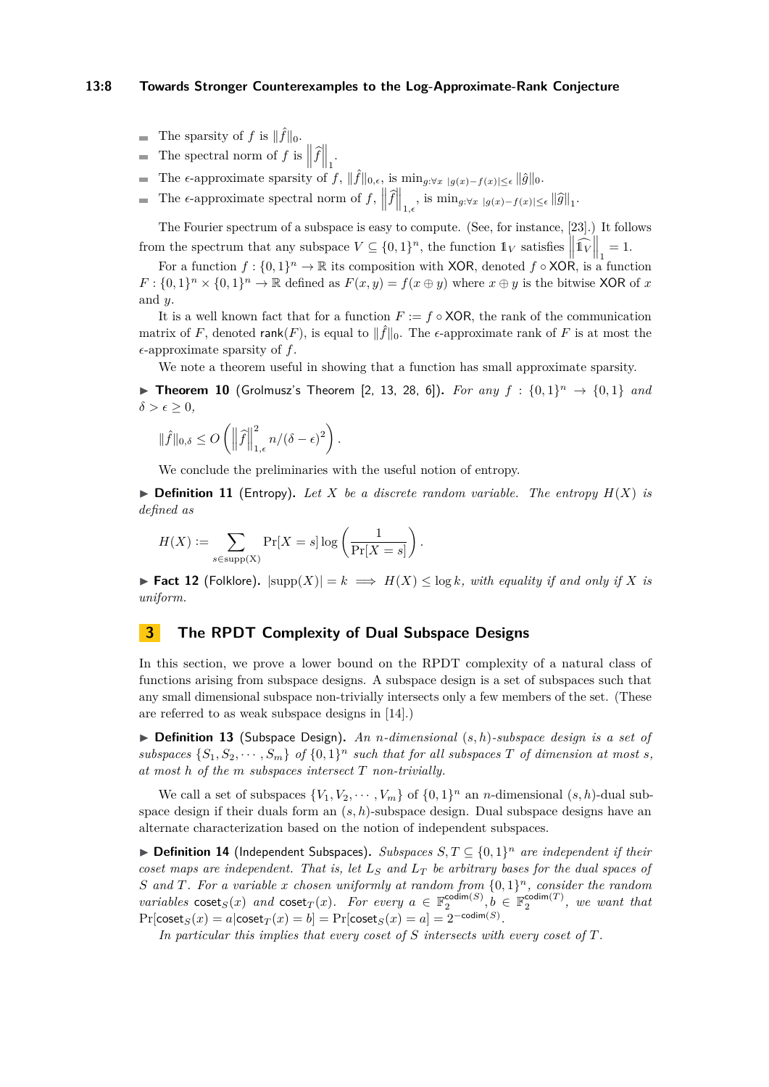### **13:8 Towards Stronger Counterexamples to the Log-Approximate-Rank Conjecture**

- The sparsity of *f* is  $\|\hat{f}\|_0$ .
- The spectral norm of  $f$  is  $\left\|\widehat{f}\right\|_1$ .
- The  $\epsilon$ -approximate sparsity of  $f$ ,  $\|\hat{f}\|_{0,\epsilon}$ , is  $\min_{g:\forall x \, |g(x)-f(x)| \leq \epsilon} \|\hat{g}\|_{0}$ .
- The  $\epsilon$ -approximate spectral norm of  $f$ ,  $\left\| \widehat{f} \right\|_{1,\epsilon}$ , is  $\min_{g:\forall x \, |g(x)-f(x)| \leq \epsilon} \| \widehat{g} \|_1$ .

The Fourier spectrum of a subspace is easy to compute. (See, for instance, [\[23\]](#page-15-12).) It follows from the spectrum that any subspace  $V \subseteq \{0,1\}^n$ , the function  $\mathbb{1}_V$  satisfies  $\left\| \widehat{\mathbb{1}_V} \right\|_1 = 1$ .

For a function  $f: \{0,1\}^n \to \mathbb{R}$  its composition with XOR, denoted  $f \circ XOR$ , is a function  $F: \{0,1\}^n \times \{0,1\}^n \to \mathbb{R}$  defined as  $F(x, y) = f(x \oplus y)$  where  $x \oplus y$  is the bitwise XOR of *x* and *y*.

It is a well known fact that for a function  $F := f \circ XOR$ , the rank of the communication matrix of *F*, denoted rank $(F)$ , is equal to  $\|\hat{f}\|_0$ . The  $\epsilon$ -approximate rank of *F* is at most the  $\epsilon$ -approximate sparsity of f.

We note a theorem useful in showing that a function has small approximate sparsity.

<span id="page-7-1"></span>▶ **Theorem 10** (Grolmusz's Theorem [\[2,](#page-14-11) [13,](#page-14-12) [28,](#page-15-13) [6\]](#page-14-0)). For any  $f : \{0,1\}^n \to \{0,1\}$  and  $\delta > \epsilon \geq 0$ ,

$$
\|\hat{f}\|_{0,\delta} \le O\left(\left\|\hat{f}\right\|_{1,\epsilon}^2 n/(\delta - \epsilon)^2\right).
$$

We conclude the preliminaries with the useful notion of entropy.

 $\triangleright$  **Definition 11** (Entropy). Let X be a discrete random variable. The entropy  $H(X)$  is *defined as*

$$
H(X) := \sum_{s \in \text{supp(X)}} \Pr[X = s] \log \left( \frac{1}{\Pr[X = s]} \right).
$$

▶ **Fact 12** (Folklore).  $|\text{supp}(X)| = k \implies H(X) \le \log k$ , with equality if and only if X is *uniform.*

# <span id="page-7-0"></span>**3 The RPDT Complexity of Dual Subspace Designs**

In this section, we prove a lower bound on the RPDT complexity of a natural class of functions arising from subspace designs. A subspace design is a set of subspaces such that any small dimensional subspace non-trivially intersects only a few members of the set. (These are referred to as weak subspace designs in [\[14\]](#page-14-10).)

▶ **Definition 13** (Subspace Design)**.** *An n-dimensional* (*s, h*)*-subspace design is a set of* subspaces  $\{S_1, S_2, \dots, S_m\}$  of  $\{0, 1\}^n$  such that for all subspaces  $T$  of dimension at most  $s$ , *at most h of the m subspaces intersect T non-trivially.*

We call a set of subspaces  $\{V_1, V_2, \cdots, V_m\}$  of  $\{0, 1\}^n$  an *n*-dimensional  $(s, h)$ -dual subspace design if their duals form an (*s, h*)-subspace design. Dual subspace designs have an alternate characterization based on the notion of independent subspaces.

▶ **Definition 14** (Independent Subspaces)**.** *Subspaces S, T* ⊆ {0*,* 1} *<sup>n</sup> are independent if their coset maps are independent. That is, let*  $L_S$  *and*  $L_T$  *be arbitrary bases for the dual spaces of S and T. For a variable x chosen uniformly at random from* {0*,* 1} *<sup>n</sup>, consider the random variables* coset<sub>*S*</sub>(*x*) *and* coset<sub>*T*</sub>(*x*)*. For every*  $a \in \mathbb{F}_2^{\text{codim}(S)}$ ,  $b \in \mathbb{F}_2^{\text{codim}(T)}$ , we want that  $\Pr[\mathsf{coset}_S(x) = a | \mathsf{coset}_T(x) = b] = \Pr[\mathsf{coset}_S(x) = a] = 2^{-\mathsf{codim}(S)}$ .

*In particular this implies that every coset of S intersects with every coset of T.*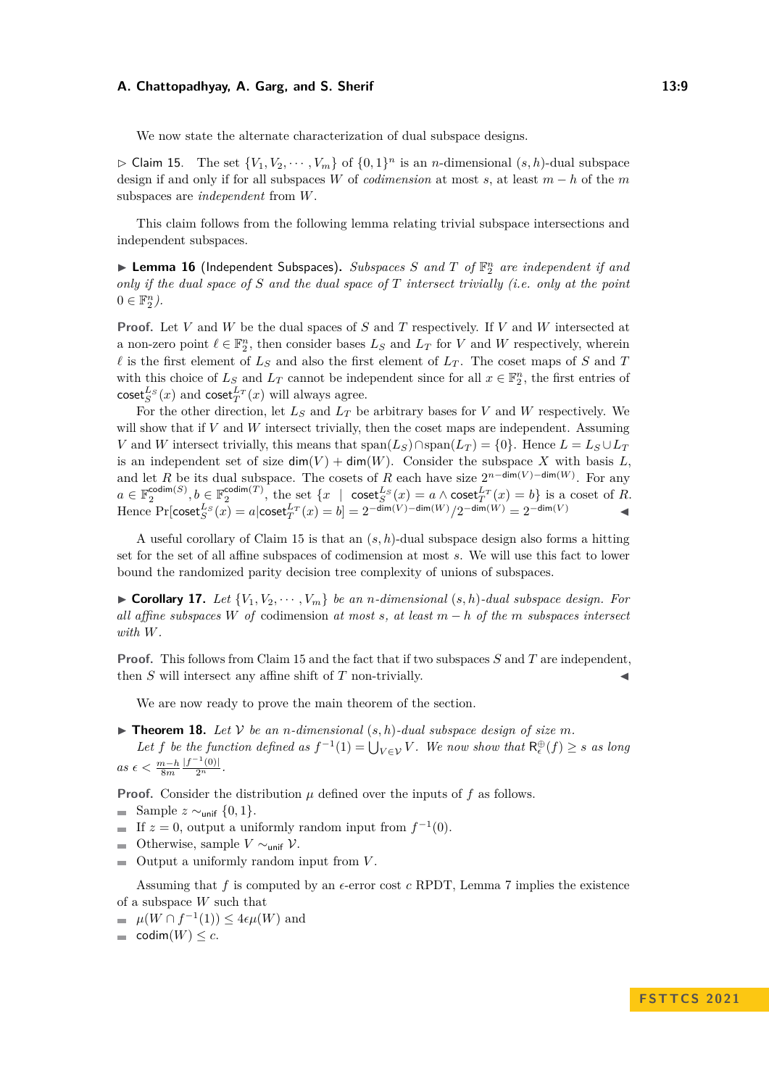#### **A. Chattopadhyay, A. Garg, and S. Sherif 13:9**

We now state the alternate characterization of dual subspace designs.

<span id="page-8-0"></span> $\triangleright$  Claim 15. The set  $\{V_1, V_2, \cdots, V_m\}$  of  $\{0, 1\}^n$  is an *n*-dimensional  $(s, h)$ -dual subspace design if and only if for all subspaces *W* of *codimension* at most *s*, at least *m* − *h* of the *m* subspaces are *independent* from *W*.

This claim follows from the following lemma relating trivial subspace intersections and independent subspaces.

▶ **Lemma 16** (Independent Subspaces)**.** *Subspaces S and T of* F *n* <sup>2</sup> *are independent if and only if the dual space of S and the dual space of T intersect trivially (i.e. only at the point*  $0 \in \mathbb{F}_2^n$ .

**Proof.** Let *V* and *W* be the dual spaces of *S* and *T* respectively. If *V* and *W* intersected at a non-zero point  $\ell \in \mathbb{F}_2^n$ , then consider bases  $L_S$  and  $L_T$  for  $V$  and  $W$  respectively, wherein  $\ell$  is the first element of  $L_S$  and also the first element of  $L_T$ . The coset maps of *S* and *T* with this choice of  $L_S$  and  $L_T$  cannot be independent since for all  $x \in \mathbb{F}_2^n$ , the first entries of  $\csc^{\mathbf{L}_{S}}(x)$  and  $\csc^{\mathbf{L}_{T}}(x)$  will always agree.

For the other direction, let *L<sup>S</sup>* and *L<sup>T</sup>* be arbitrary bases for *V* and *W* respectively. We will show that if  $V$  and  $W$  intersect trivially, then the coset maps are independent. Assuming *V* and *W* intersect trivially, this means that span $(L_S) \cap \text{span}(L_T) = \{0\}$ . Hence  $L = L_S \cup L_T$ is an independent set of size  $\dim(V) + \dim(W)$ . Consider the subspace X with basis L, and let *R* be its dual subspace. The cosets of *R* each have size  $2^{n-\dim(V)-\dim(W)}$ . For any  $a \in \mathbb{F}_2^{\text{codim}(S)}, b \in \mathbb{F}_2^{\text{codim}(T)}$ , the set  $\{x \mid \text{coset}_{S}^{L_S}(x) = a \land \text{coset}_{T}^{L_T}(x) = b\}$  is a coset of *R*. Hence  $\Pr[\text{coset}_{S}^{L_S}(x) = a | \text{coset}_{T}^{L_T}(x) = b] = 2^{-\dim(V) - \dim(W)} / 2^{-\dim(W)} = 2^{-\dim(V)}$ 

A useful corollary of Claim [15](#page-8-0) is that an (*s, h*)-dual subspace design also forms a hitting set for the set of all affine subspaces of codimension at most *s*. We will use this fact to lower bound the randomized parity decision tree complexity of unions of subspaces.

<span id="page-8-1"></span> $\triangleright$  **Corollary 17.** Let  $\{V_1, V_2, \cdots, V_m\}$  be an *n*-dimensional  $(s, h)$ -dual subspace design. For *all affine subspaces W of* codimension *at most s, at least m* − *h of the m subspaces intersect with W.*

**Proof.** This follows from Claim [15](#page-8-0) and the fact that if two subspaces *S* and *T* are independent, then  $S$  will intersect any affine shift of  $T$  non-trivially.

We are now ready to prove the main theorem of the section.

- <span id="page-8-2"></span> $\blacktriangleright$  **Theorem 18.** Let V be an *n*-dimensional  $(s, h)$ -dual subspace design of size m.
- Let *f* be the function defined as  $f^{-1}(1) = \bigcup_{V \in \mathcal{V}} V$ . We now show that  $R_{\epsilon}^{\oplus}(f) \geq s$  as long  $as \epsilon < \frac{m-h}{8m}$  $\frac{|f^{-1}(0)|}{2^n}$ .

**Proof.** Consider the distribution  $\mu$  defined over the inputs of  $f$  as follows.

■ Sample  $z \sim_{\text{unif}} \{0, 1\}.$ 

- If  $z = 0$ , output a uniformly random input from  $f^{-1}(0)$ .
- $\blacksquare$  Otherwise, sample *V* ∼<sub>unif</sub> *V*.
- Output a uniformly random input from *V* .

Assuming that *f* is computed by an  $\epsilon$ -error cost *c* RPDT, Lemma [7](#page-5-1) implies the existence of a subspace *W* such that

- $\mu(W \cap f^{-1}(1)) \leq 4\epsilon\mu(W)$  and
- $= \text{codim}(W) \leq c.$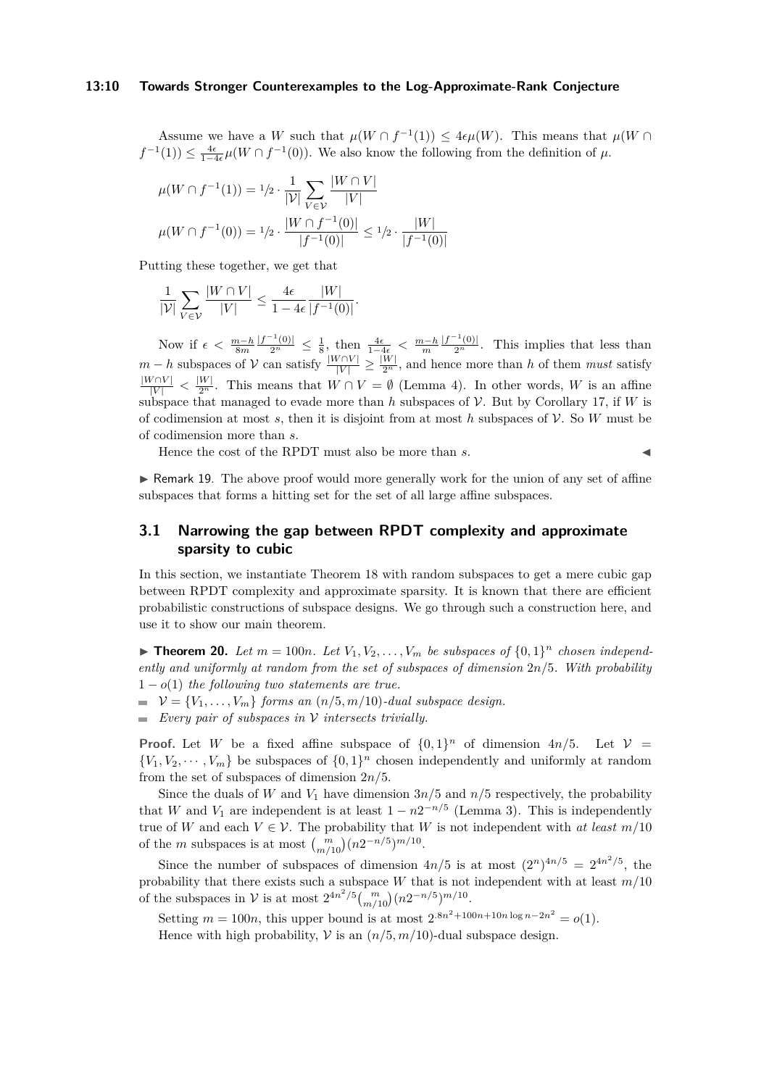Assume we have a *W* such that  $\mu(W \cap f^{-1}(1)) \leq 4\epsilon\mu(W)$ . This means that  $\mu(W \cap f^{-1}(1))$  $f^{-1}(1)$ )  $\leq \frac{4\epsilon}{1-4\epsilon}\mu(W \cap f^{-1}(0))$ . We also know the following from the definition of  $\mu$ .

$$
\mu(W \cap f^{-1}(1)) = 1/2 \cdot \frac{1}{|\mathcal{V}|} \sum_{V \in \mathcal{V}} \frac{|W \cap V|}{|V|}
$$

$$
\mu(W \cap f^{-1}(0)) = 1/2 \cdot \frac{|W \cap f^{-1}(0)|}{|f^{-1}(0)|} \le 1/2 \cdot \frac{|W|}{|f^{-1}(0)|}
$$

Putting these together, we get that

$$
\frac{1}{|\mathcal{V}|} \sum_{V \in \mathcal{V}} \frac{|W \cap V|}{|V|} \le \frac{4\epsilon}{1 - 4\epsilon} \frac{|W|}{|f^{-1}(0)|}.
$$

Now if  $\epsilon < \frac{m-h}{8m}$  $\frac{|f^{-1}(0)|}{2^n} \leq \frac{1}{8}$ , then  $\frac{4\epsilon}{1-4\epsilon} < \frac{m-h}{m}$  $\frac{|f^{-1}(0)|}{2^n}$ . This implies that less than *m* − *h* subspaces of V can satisfy  $\frac{|W ∩ V|}{|V|} \ge \frac{|W|}{2^n}$ , and hence more than *h* of them *must* satisfy  $\frac{|W \cap V|}{|V|} < \frac{|W|}{2^n}$ . This means that  $W \cap V = \emptyset$  (Lemma [4\)](#page-4-2). In other words, *W* is an affine subspace that managed to evade more than  $h$  subspaces of  $\mathcal V$ . But by Corollary [17,](#page-8-1) if  $W$  is of codimension at most  $s$ , then it is disjoint from at most  $h$  subspaces of  $V$ . So  $W$  must be of codimension more than *s*.

Hence the cost of the RPDT must also be more than *s*.

▶ Remark 19. The above proof would more generally work for the union of any set of affine subspaces that forms a hitting set for the set of all large affine subspaces.

# **3.1 Narrowing the gap between RPDT complexity and approximate sparsity to cubic**

In this section, we instantiate Theorem [18](#page-8-2) with random subspaces to get a mere cubic gap between RPDT complexity and approximate sparsity. It is known that there are efficient probabilistic constructions of subspace designs. We go through such a construction here, and use it to show our main theorem.

<span id="page-9-0"></span> $\blacktriangleright$  **Theorem 20.** Let  $m = 100n$ . Let  $V_1, V_2, \ldots, V_m$  be subspaces of  $\{0, 1\}^n$  chosen independ*ently and uniformly at random from the set of subspaces of dimension* 2*n/*5*. With probability*  $1 - o(1)$  *the following two statements are true.* 

- $\mathcal{V} = \{V_1, \ldots, V_m\}$  *forms an*  $(n/5, m/10)$ *-dual subspace design.*
- *Every pair of subspaces in* V *intersects trivially.*

**Proof.** Let *W* be a fixed affine subspace of  $\{0,1\}^n$  of dimension  $4n/5$ . Let  $V =$  ${V_1, V_2, \dots, V_m}$  be subspaces of  ${0, 1}^n$  chosen independently and uniformly at random from the set of subspaces of dimension 2*n/*5.

Since the duals of *W* and  $V_1$  have dimension  $3n/5$  and  $n/5$  respectively, the probability that *W* and  $V_1$  are independent is at least  $1 - n2^{-n/5}$  (Lemma [3\)](#page-4-3). This is independently true of *W* and each  $V \in V$ . The probability that *W* is not independent with *at least*  $m/10$ of the *m* subspaces is at most  $\binom{m}{m/10} (n2^{-n/5})^{m/10}$ .

Since the number of subspaces of dimension  $4n/5$  is at most  $(2^n)^{4n/5} = 2^{4n^2/5}$ , the probability that there exists such a subspace *W* that is not independent with at least *m/*10 of the subspaces in  $V$  is at most  $2^{4n^2/5} {m \choose m/10} (n2^{-n/5})^{m/10}$ .

Setting  $m = 100n$ , this upper bound is at most  $2 \cdot 8n^2 + 100n + 10n \log n - 2n^2 = o(1)$ .

Hence with high probability,  $V$  is an  $(n/5, m/10)$ -dual subspace design.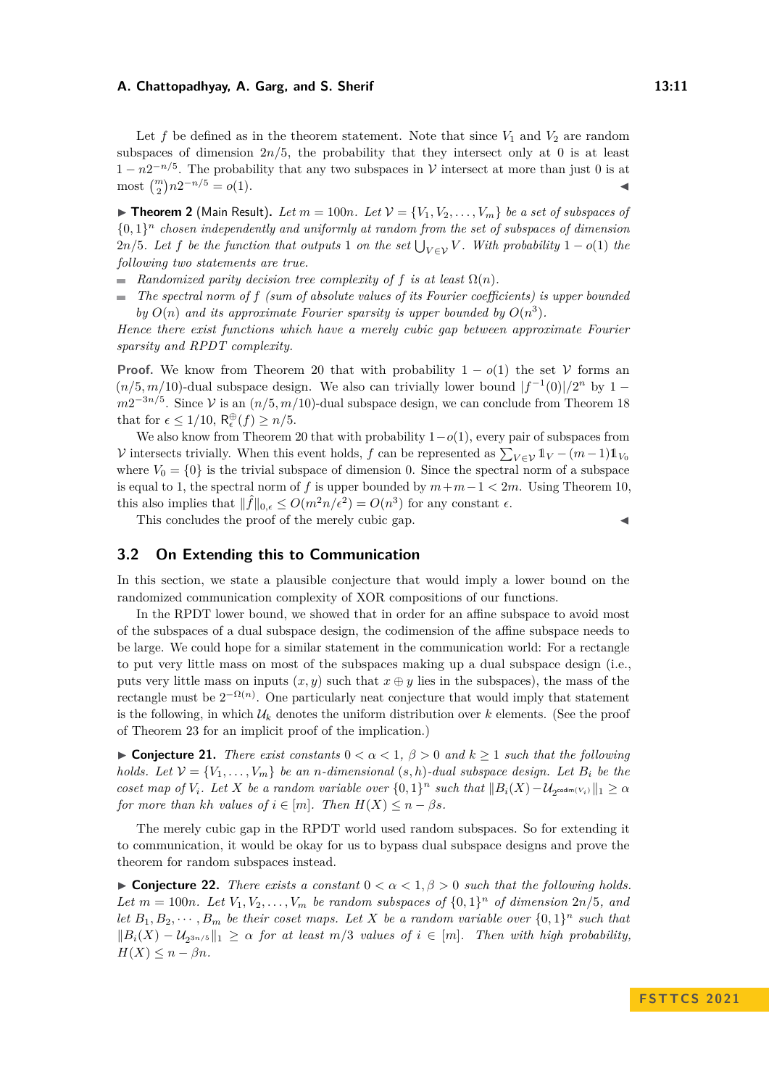#### **A. Chattopadhyay, A. Garg, and S. Sherif 13:11**

Let f be defined as in the theorem statement. Note that since  $V_1$  and  $V_2$  are random subspaces of dimension  $2n/5$ , the probability that they intersect only at 0 is at least  $1-n2^{-n/5}$ . The probability that any two subspaces in V intersect at more than just 0 is at  $\text{most } \binom{m}{2} n 2^{-n/5} = o(1).$ 

 $\blacktriangleright$  **Theorem 2** (Main Result). Let  $m = 100n$ . Let  $\mathcal{V} = \{V_1, V_2, \ldots, V_m\}$  be a set of subspaces of  ${0,1}<sup>n</sup>$  *chosen independently and uniformly at random from the set of subspaces of dimension*  $2n/5$ *. Let f be the function that outputs* 1 *on the set*  $\bigcup_{V \in \mathcal{V}} V$ *. With probability* 1 – *o*(1) *the following two statements are true.*

- **Randomized parity decision tree complexity of f is at least**  $\Omega(n)$ **.**
- *The spectral norm of f (sum of absolute values of its Fourier coefficients) is upper bounded by*  $O(n)$  *and its approximate Fourier sparsity is upper bounded by*  $O(n^3)$ *.*

*Hence there exist functions which have a merely cubic gap between approximate Fourier sparsity and RPDT complexity.*

**Proof.** We know from Theorem [20](#page-9-0) that with probability  $1 - o(1)$  the set V forms an  $(n/5, m/10)$ -dual subspace design. We also can trivially lower bound  $|f^{-1}(0)|/2^n$  by 1 −  $m2^{-3n/5}$ . Since V is an  $(n/5, m/10)$ -dual subspace design, we can conclude from Theorem [18](#page-8-2) that for  $\epsilon \leq 1/10$ ,  $R_{\epsilon}^{\oplus}(f) \geq n/5$ .

We also know from Theorem [20](#page-9-0) that with probability 1−*o*(1), every pair of subspaces from V intersects trivially. When this event holds, *f* can be represented as  $\sum_{V \in \mathcal{V}} 1_V - (m-1)1_{V_0}$ where  $V_0 = \{0\}$  is the trivial subspace of dimension 0. Since the spectral norm of a subspace is equal to 1, the spectral norm of *f* is upper bounded by  $m+m-1 < 2m$ . Using Theorem [10,](#page-7-1) this also implies that  $\|\hat{f}\|_{0,\epsilon} \leq O(m^2 n/\epsilon^2) = O(n^3)$  for any constant  $\epsilon$ .

This concludes the proof of the merely cubic gap.

## <span id="page-10-0"></span>**3.2 On Extending this to Communication**

In this section, we state a plausible conjecture that would imply a lower bound on the randomized communication complexity of XOR compositions of our functions.

In the RPDT lower bound, we showed that in order for an affine subspace to avoid most of the subspaces of a dual subspace design, the codimension of the affine subspace needs to be large. We could hope for a similar statement in the communication world: For a rectangle to put very little mass on most of the subspaces making up a dual subspace design (i.e., puts very little mass on inputs  $(x, y)$  such that  $x \oplus y$  lies in the subspaces), the mass of the rectangle must be  $2^{-\Omega(n)}$ . One particularly neat conjecture that would imply that statement is the following, in which  $\mathcal{U}_k$  denotes the uniform distribution over  $k$  elements. (See the proof of Theorem [23](#page-11-0) for an implicit proof of the implication.)

<span id="page-10-1"></span>▶ **Conjecture 21.** *There exist constants*  $0 < \alpha < 1$ ,  $\beta > 0$  *and*  $k \ge 1$  *such that the following holds. Let*  $\mathcal{V} = \{V_1, \ldots, V_m\}$  *be an n-dimensional*  $(s, h)$ *-dual subspace design. Let*  $B_i$  *be the coset map of*  $V_i$ *. Let*  $X$  *be a random variable over*  $\{0,1\}^n$  *such that*  $||B_i(X) - \mathcal{U}_{2^{codim(V_i)}}||_1 \geq \alpha$ *for more than kh values of*  $i \in [m]$ *. Then*  $H(X) \leq n - \beta s$ *.* 

The merely cubic gap in the RPDT world used random subspaces. So for extending it to communication, it would be okay for us to bypass dual subspace designs and prove the theorem for random subspaces instead.

<span id="page-10-2"></span>**► Conjecture 22.** *There exists a constant*  $0 < \alpha < 1, \beta > 0$  *such that the following holds.* Let  $m = 100n$ *. Let*  $V_1, V_2, \ldots, V_m$  *be random subspaces of*  $\{0, 1\}^n$  *of dimension*  $2n/5$ *, and let*  $B_1, B_2, \cdots, B_m$  *be their coset maps. Let X be a random variable over*  $\{0,1\}^n$  *such that*  $||B_i(X) - U_{2^{3n/5}}||_1 \geq \alpha$  *for at least m*/3 *values of i* ∈ [*m*]*. Then with high probability,*  $H(X) \leq n - \beta n$ .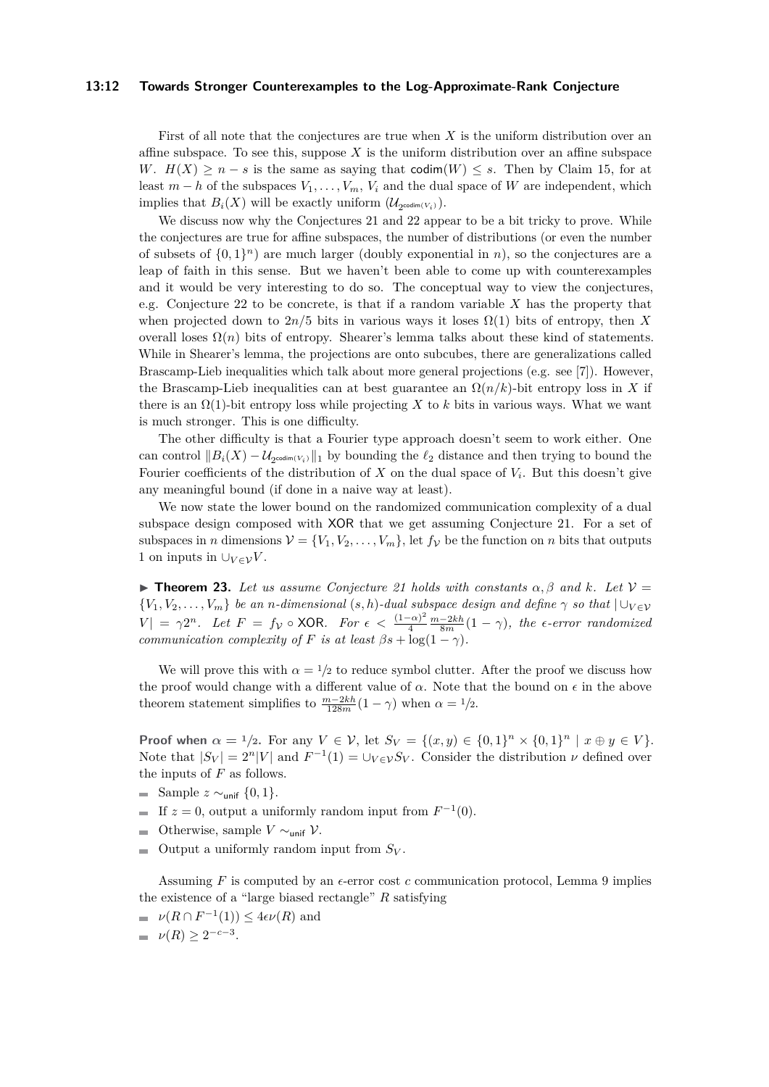#### **13:12 Towards Stronger Counterexamples to the Log-Approximate-Rank Conjecture**

First of all note that the conjectures are true when *X* is the uniform distribution over an affine subspace. To see this, suppose  $X$  is the uniform distribution over an affine subspace *W*.  $H(X) \geq n - s$  is the same as saying that codim(*W*) < *s*. Then by Claim [15,](#page-8-0) for at least  $m - h$  of the subspaces  $V_1, \ldots, V_m, V_i$  and the dual space of W are independent, which implies that  $B_i(X)$  will be exactly uniform  $(\mathcal{U}_{2^{\text{codim}(V_i)}})$ .

We discuss now why the Conjectures [21](#page-10-1) and [22](#page-10-2) appear to be a bit tricky to prove. While the conjectures are true for affine subspaces, the number of distributions (or even the number of subsets of  $\{0,1\}^n$  are much larger (doubly exponential in *n*), so the conjectures are a leap of faith in this sense. But we haven't been able to come up with counterexamples and it would be very interesting to do so. The conceptual way to view the conjectures, e.g. Conjecture [22](#page-10-2) to be concrete, is that if a random variable *X* has the property that when projected down to  $2n/5$  bits in various ways it loses  $\Omega(1)$  bits of entropy, then X overall loses  $\Omega(n)$  bits of entropy. Shearer's lemma talks about these kind of statements. While in Shearer's lemma, the projections are onto subcubes, there are generalizations called Brascamp-Lieb inequalities which talk about more general projections (e.g. see [\[7\]](#page-14-13)). However, the Brascamp-Lieb inequalities can at best guarantee an  $\Omega(n/k)$ -bit entropy loss in X if there is an  $\Omega(1)$ -bit entropy loss while projecting X to k bits in various ways. What we want is much stronger. This is one difficulty.

The other difficulty is that a Fourier type approach doesn't seem to work either. One can control  $||B_i(X) - \mathcal{U}_{2^{codim(V_i)}}||_1$  by bounding the  $\ell_2$  distance and then trying to bound the Fourier coefficients of the distribution of *X* on the dual space of *V<sup>i</sup>* . But this doesn't give any meaningful bound (if done in a naive way at least).

We now state the lower bound on the randomized communication complexity of a dual subspace design composed with XOR that we get assuming Conjecture [21.](#page-10-1) For a set of subspaces in *n* dimensions  $V = \{V_1, V_2, \ldots, V_m\}$ , let  $f_V$  be the function on *n* bits that outputs 1 on inputs in  $\bigcup_{V\in\mathcal{V}}V$ .

<span id="page-11-0"></span> $\blacktriangleright$  **Theorem 23.** Let us assume Conjecture [21](#page-10-1) holds with constants  $\alpha$ ,  $\beta$  and  $k$ . Let  $\mathcal{V} =$  ${V_1, V_2, \ldots, V_m}$  *be an n-dimensional* (*s, h*)*-dual subspace design and define*  $\gamma$  *so that*  $\bigcup_{V \in V}$  $|V| = \gamma 2^n$ . Let  $F = f_V \circ \textsf{XOR}$ . For  $\epsilon < \frac{(1-\alpha)^2}{4}$ 4 *m*−2*kh* <sup>8</sup>*<sup>m</sup>* (1 − *γ*)*, the ϵ-error randomized communication complexity of F is at least*  $\beta s + \log(1 - \gamma)$ *.* 

We will prove this with  $\alpha = 1/2$  to reduce symbol clutter. After the proof we discuss how the proof would change with a different value of  $\alpha$ . Note that the bound on  $\epsilon$  in the above theorem statement simplifies to  $\frac{m-2kh}{128m}(1-\gamma)$  when  $\alpha = 1/2$ .

**Proof when**  $\alpha = 1/2$ . For any  $V \in V$ , let  $S_V = \{(x, y) \in \{0, 1\}^n \times \{0, 1\}^n \mid x \oplus y \in V\}$ . Note that  $|S_V| = 2^n |V|$  and  $F^{-1}(1) = \bigcup_{V \in V} S_V$ . Consider the distribution  $\nu$  defined over the inputs of *F* as follows.

- Sample *z* ∼unif {0*,* 1}.
- If  $z = 0$ , output a uniformly random input from  $F^{-1}(0)$ .
- Otherwise, sample *V* ∼unif V.
- $\blacksquare$  Output a uniformly random input from  $S_V$ .

Assuming  $F$  is computed by an  $\epsilon$ -error cost  $c$  communication protocol, Lemma [9](#page-6-1) implies the existence of a "large biased rectangle" *R* satisfying

- $\nu(R \cap F^{-1}(1)) \leq 4\epsilon\nu(R)$  and
- $\nu(R) \geq 2^{-c-3}$ .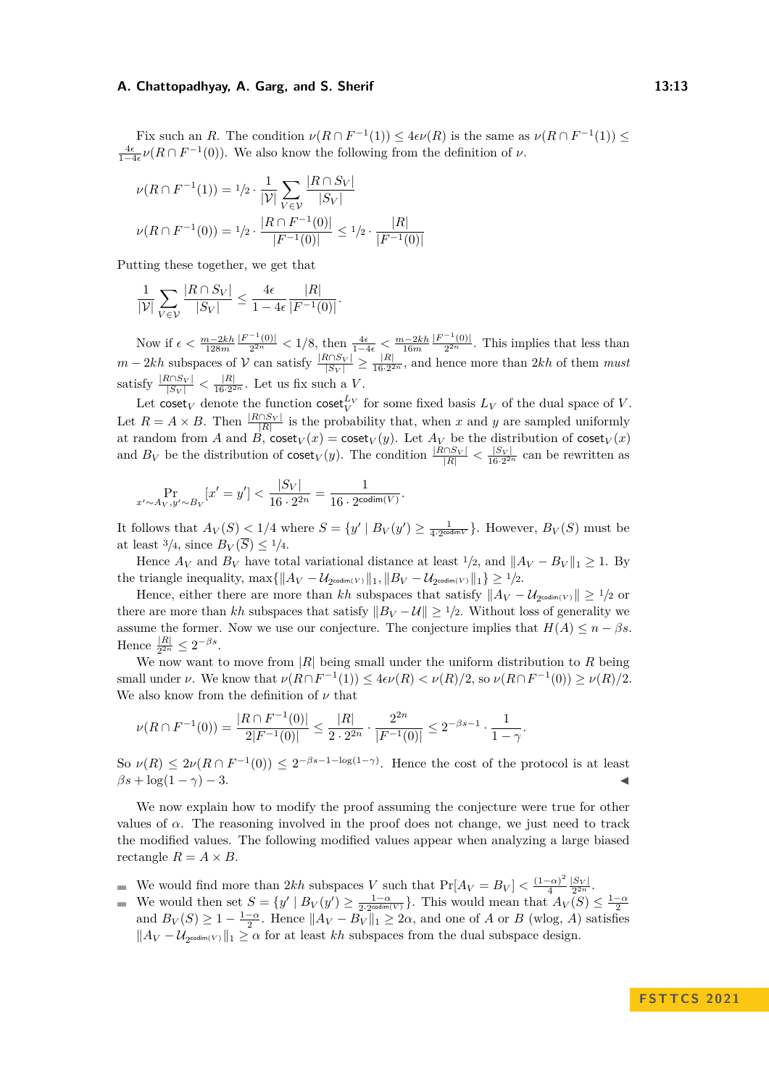#### **A. Chattopadhyay, A. Garg, and S. Sherif 13:13 13:13**

Fix such an *R*. The condition  $\nu(R \cap F^{-1}(1)) \leq 4\epsilon\nu(R)$  is the same as  $\nu(R \cap F^{-1}(1)) \leq$  $\frac{4\epsilon}{1-4\epsilon}$  *ν*( $R \cap F^{-1}(0)$ ). We also know the following from the definition of *ν*.

$$
\nu(R \cap F^{-1}(1)) = 1/2 \cdot \frac{1}{|\mathcal{V}|} \sum_{V \in \mathcal{V}} \frac{|R \cap S_V|}{|S_V|}
$$

$$
\nu(R \cap F^{-1}(0)) = 1/2 \cdot \frac{|R \cap F^{-1}(0)|}{|F^{-1}(0)|} \le 1/2 \cdot \frac{|R|}{|F^{-1}(0)|}
$$

Putting these together, we get that

$$
\frac{1}{|\mathcal{V}|} \sum_{V \in \mathcal{V}} \frac{|R \cap S_V|}{|S_V|} \le \frac{4\epsilon}{1 - 4\epsilon} \frac{|R|}{|F^{-1}(0)|}.
$$

Now if  $\epsilon < \frac{m-2kh}{128m}$  $|F^{-1}(0)|$  $\frac{(-1)(0)}{2^{2n}} < 1/8$ , then  $\frac{4\epsilon}{1-4\epsilon} < \frac{m-2kh}{16m}$  $|F^{-1}(0)|$  $\frac{(0)}{2^{2n}}$ . This implies that less than *m* − 2*kh* subspaces of  $V$  can satisfy  $\frac{|R \cap S_V|}{|S_V|}$  ≥  $\frac{|R|}{16 \cdot 2^2}$  $\frac{|R|}{16 \cdot 2^{2n}}$ , and hence more than 2kh of them *must* satisfy  $\frac{|R \cap S_V|}{|S_V|} < \frac{|R|}{16 \cdot 2^2}$  $\frac{|R|}{16\cdot 2^{2n}}$ . Let us fix such a *V*.

Let coset<sub>*V*</sub> denote the function coset<sup>*L<sub>V</sub>*</sup> for some fixed basis  $L_V$  of the dual space of *V*. Let  $R = A \times B$ . Then  $\frac{|R \cap S_V|}{|R|}$  is the probability that, when *x* and *y* are sampled uniformly at random from *A* and *B*,  $\text{coset}_V(x) = \text{coset}_V(y)$ . Let  $A_V$  be the distribution of  $\text{coset}_V(x)$ and  $B_V$  be the distribution of  $\csc t_V(y)$ . The condition  $\frac{|R \cap S_V|}{|R|} < \frac{|S_V|}{16 \cdot 2^{2n}}$  can be rewritten as

$$
\Pr_{x' \sim A_V, y' \sim B_V} [x' = y'] < \frac{|S_V|}{16 \cdot 2^{2n}} = \frac{1}{16 \cdot 2^{\text{codim}(V)}}
$$

It follows that  $A_V(S) \leq 1/4$  where  $S = \{y' \mid B_V(y') \geq \frac{1}{4 \cdot 2^{\text{codim}V}}\}$ . However,  $B_V(S)$  must be at least  $\frac{3}{4}$ , since  $B_V(\overline{S}) \leq \frac{1}{4}$ .

*.*

Hence  $A_V$  and  $B_V$  have total variational distance at least  $\frac{1}{2}$ , and  $||A_V - B_V||_1 > 1$ . By the triangle inequality,  $\max\{\|A_V - \mathcal{U}_{2^{\text{codim}(V)}}\|_1, \|B_V - \mathcal{U}_{2^{\text{codim}(V)}}\|_1\} \geq 1/2$ .

Hence, either there are more than  $kh$  subspaces that satisfy  $||A_V - \mathcal{U}_{2^{codim}(V)}|| \geq 1/2$  or there are more than *kh* subspaces that satisfy  $||B_V - U|| \ge 1/2$ . Without loss of generality we assume the former. Now we use our conjecture. The conjecture implies that  $H(A) \leq n - \beta s$ . Hence  $\frac{|R|}{2^{2n}} \leq 2^{-\beta s}$ .

We now want to move from |*R*| being small under the uniform distribution to *R* being small under *ν*. We know that  $\nu(R \cap F^{-1}(1)) \leq 4\epsilon\nu(R) < \nu(R)/2$ , so  $\nu(R \cap F^{-1}(0)) \geq \nu(R)/2$ . We also know from the definition of  $\nu$  that

$$
\nu(R\cap F^{-1}(0)) = \frac{|R\cap F^{-1}(0)|}{2|F^{-1}(0)|} \le \frac{|R|}{2 \cdot 2^{2n}} \cdot \frac{2^{2n}}{|F^{-1}(0)|} \le 2^{-\beta s - 1} \cdot \frac{1}{1 - \gamma}.
$$

So  $\nu(R) \leq 2\nu(R \cap F^{-1}(0)) \leq 2^{-\beta s - 1 - \log(1-\gamma)}$ . Hence the cost of the protocol is at least  $\beta s + \log(1-\gamma) - 3.$ 

We now explain how to modify the proof assuming the conjecture were true for other values of  $\alpha$ . The reasoning involved in the proof does not change, we just need to track the modified values. The following modified values appear when analyzing a large biased rectangle  $R = A \times B$ .

- We would find more than  $2kh$  subspaces *V* such that  $Pr[A_V = B_V] < \frac{(1-\alpha)^2}{4}$  $\frac{(-\alpha)^2}{4} \frac{|S_V|}{2^{2n}}$ .
- We would then set  $S = \{y' \mid B_V(y') \geq \frac{1-\alpha}{2 \cdot 2^{\text{codim}(V)}}\}$ . This would mean that  $A_V(S) \leq \frac{1-\alpha}{2}$ and  $B_V(S) \ge 1 - \frac{1-\alpha}{2}$ . Hence  $||A_V - B_V||_1 \ge 2\alpha$ , and one of *A* or *B* (wlog, *A*) satisfies  $||A_V - U_{2^{codim(V)}}||_1 ≥ \alpha$  for at least *kh* subspaces from the dual subspace design.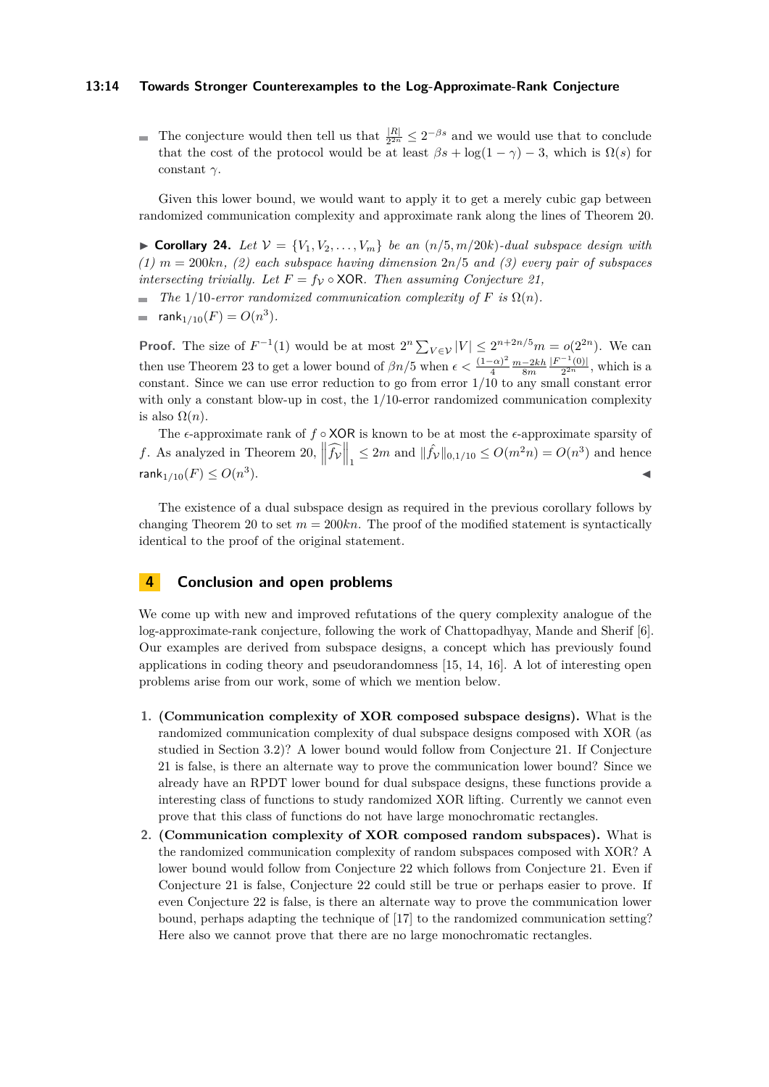#### **13:14 Towards Stronger Counterexamples to the Log-Approximate-Rank Conjecture**

The conjecture would then tell us that  $\frac{|R|}{2^{2n}} \leq 2^{-\beta s}$  and we would use that to conclude that the cost of the protocol would be at least  $\beta s + \log(1 - \gamma) - 3$ , which is  $\Omega(s)$  for constant *γ*.

Given this lower bound, we would want to apply it to get a merely cubic gap between randomized communication complexity and approximate rank along the lines of Theorem [20.](#page-9-0)

 $\triangleright$  **Corollary 24.** Let  $V = \{V_1, V_2, \ldots, V_m\}$  be an  $(n/5, m/20k)$ -dual subspace design with *(1) m* = 200*kn, (2) each subspace having dimension* 2*n/*5 *and (3) every pair of subspaces intersecting trivially. Let*  $F = f_V \circ \text{XOR}$ *. Then assuming Conjecture [21,](#page-10-1)* 

- *The* 1/10*-error randomized communication complexity of*  $F$  *is*  $\Omega(n)$ *.* ÷.
- $rank_{1/10}(F) = O(n^3)$ .  $\equiv$

**Proof.** The size of  $F^{-1}(1)$  would be at most  $2^n \sum_{V \in \mathcal{V}} |V| \leq 2^{n+2n/5} m = o(2^{2n})$ . We can then use Theorem [23](#page-11-0) to get a lower bound of  $\beta n/5$  when  $\epsilon < \frac{(1-\alpha)^2}{4}$  $\frac{(-\alpha)^2}{4} \frac{m-2kh}{8m}$  $|F^{-1}(0)|$  $\frac{(0)}{2^{2n}}$ , which is a constant. Since we can use error reduction to go from error 1*/*10 to any small constant error with only a constant blow-up in cost, the  $1/10$ -error randomized communication complexity is also  $\Omega(n)$ .

The *ϵ*-approximate rank of *f* ◦ XOR is known to be at most the *ϵ*-approximate sparsity of *f*. As analyzed in Theorem [20,](#page-9-0)  $\left\| \widehat{f_V} \right\|_1 \leq 2m$  and  $\| \widehat{f_V} \|_{0,1/10} \leq O(m^2 n) = O(n^3)$  and hence rank $_{1/10}(F) \leq O(n^3)$ ).

The existence of a dual subspace design as required in the previous corollary follows by changing Theorem [20](#page-9-0) to set  $m = 200kn$ . The proof of the modified statement is syntactically identical to the proof of the original statement.

## <span id="page-13-0"></span>**4 Conclusion and open problems**

We come up with new and improved refutations of the query complexity analogue of the log-approximate-rank conjecture, following the work of Chattopadhyay, Mande and Sherif [\[6\]](#page-14-0). Our examples are derived from subspace designs, a concept which has previously found applications in coding theory and pseudorandomness [\[15,](#page-15-7) [14,](#page-14-10) [16\]](#page-15-8). A lot of interesting open problems arise from our work, some of which we mention below.

- **1. (Communication complexity of XOR composed subspace designs).** What is the randomized communication complexity of dual subspace designs composed with XOR (as studied in Section [3.2\)](#page-10-0)? A lower bound would follow from Conjecture [21.](#page-10-1) If Conjecture [21](#page-10-1) is false, is there an alternate way to prove the communication lower bound? Since we already have an RPDT lower bound for dual subspace designs, these functions provide a interesting class of functions to study randomized XOR lifting. Currently we cannot even prove that this class of functions do not have large monochromatic rectangles.
- **2. (Communication complexity of XOR composed random subspaces).** What is the randomized communication complexity of random subspaces composed with XOR? A lower bound would follow from Conjecture [22](#page-10-2) which follows from Conjecture [21.](#page-10-1) Even if Conjecture [21](#page-10-1) is false, Conjecture [22](#page-10-2) could still be true or perhaps easier to prove. If even Conjecture [22](#page-10-2) is false, is there an alternate way to prove the communication lower bound, perhaps adapting the technique of [\[17\]](#page-15-5) to the randomized communication setting? Here also we cannot prove that there are no large monochromatic rectangles.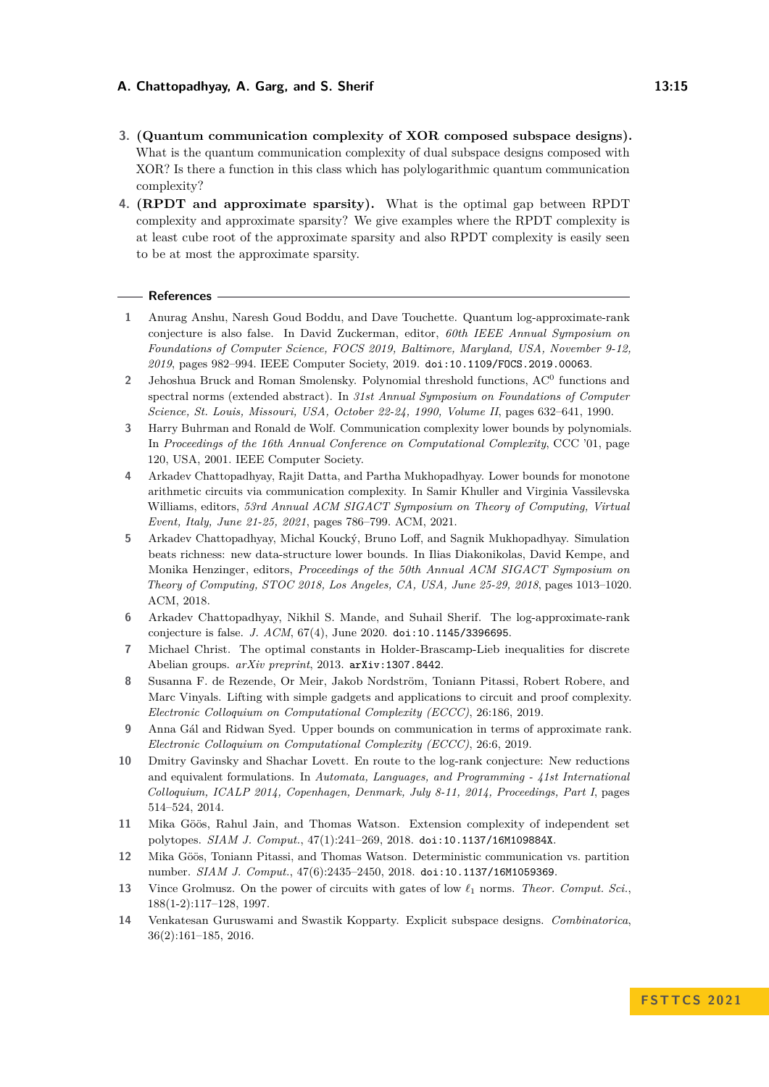## **A. Chattopadhyay, A. Garg, and S. Sherif 13:15 13:15**

- **3. (Quantum communication complexity of XOR composed subspace designs).** What is the quantum communication complexity of dual subspace designs composed with XOR? Is there a function in this class which has polylogarithmic quantum communication complexity?
- **4. (RPDT and approximate sparsity).** What is the optimal gap between RPDT complexity and approximate sparsity? We give examples where the RPDT complexity is at least cube root of the approximate sparsity and also RPDT complexity is easily seen to be at most the approximate sparsity.

#### **References**

- <span id="page-14-4"></span>**1** Anurag Anshu, Naresh Goud Boddu, and Dave Touchette. Quantum log-approximate-rank conjecture is also false. In David Zuckerman, editor, *60th IEEE Annual Symposium on Foundations of Computer Science, FOCS 2019, Baltimore, Maryland, USA, November 9-12, 2019*, pages 982–994. IEEE Computer Society, 2019. [doi:10.1109/FOCS.2019.00063](https://doi.org/10.1109/FOCS.2019.00063).
- <span id="page-14-11"></span>2 Jehoshua Bruck and Roman Smolensky. Polynomial threshold functions, AC<sup>0</sup> functions and spectral norms (extended abstract). In *31st Annual Symposium on Foundations of Computer Science, St. Louis, Missouri, USA, October 22-24, 1990, Volume II*, pages 632–641, 1990.
- <span id="page-14-2"></span>**3** Harry Buhrman and Ronald de Wolf. Communication complexity lower bounds by polynomials. In *Proceedings of the 16th Annual Conference on Computational Complexity*, CCC '01, page 120, USA, 2001. IEEE Computer Society.
- <span id="page-14-5"></span>**4** Arkadev Chattopadhyay, Rajit Datta, and Partha Mukhopadhyay. Lower bounds for monotone arithmetic circuits via communication complexity. In Samir Khuller and Virginia Vassilevska Williams, editors, *53rd Annual ACM SIGACT Symposium on Theory of Computing, Virtual Event, Italy, June 21-25, 2021*, pages 786–799. ACM, 2021.
- <span id="page-14-9"></span>**5** Arkadev Chattopadhyay, Michal Koucký, Bruno Loff, and Sagnik Mukhopadhyay. Simulation beats richness: new data-structure lower bounds. In Ilias Diakonikolas, David Kempe, and Monika Henzinger, editors, *Proceedings of the 50th Annual ACM SIGACT Symposium on Theory of Computing, STOC 2018, Los Angeles, CA, USA, June 25-29, 2018*, pages 1013–1020. ACM, 2018.
- <span id="page-14-0"></span>**6** Arkadev Chattopadhyay, Nikhil S. Mande, and Suhail Sherif. The log-approximate-rank conjecture is false. *J. ACM*, 67(4), June 2020. [doi:10.1145/3396695](https://doi.org/10.1145/3396695).
- <span id="page-14-13"></span>**7** Michael Christ. The optimal constants in Holder-Brascamp-Lieb inequalities for discrete Abelian groups. *arXiv preprint*, 2013. [arXiv:1307.8442](http://arxiv.org/abs/1307.8442).
- <span id="page-14-7"></span>**8** Susanna F. de Rezende, Or Meir, Jakob Nordström, Toniann Pitassi, Robert Robere, and Marc Vinyals. Lifting with simple gadgets and applications to circuit and proof complexity. *Electronic Colloquium on Computational Complexity (ECCC)*, 26:186, 2019.
- <span id="page-14-3"></span>**9** Anna Gál and Ridwan Syed. Upper bounds on communication in terms of approximate rank. *Electronic Colloquium on Computational Complexity (ECCC)*, 26:6, 2019.
- <span id="page-14-1"></span>**10** Dmitry Gavinsky and Shachar Lovett. En route to the log-rank conjecture: New reductions and equivalent formulations. In *Automata, Languages, and Programming - 41st International Colloquium, ICALP 2014, Copenhagen, Denmark, July 8-11, 2014, Proceedings, Part I*, pages 514–524, 2014.
- <span id="page-14-8"></span>**11** Mika Göös, Rahul Jain, and Thomas Watson. Extension complexity of independent set polytopes. *SIAM J. Comput.*, 47(1):241–269, 2018. [doi:10.1137/16M109884X](https://doi.org/10.1137/16M109884X).
- <span id="page-14-6"></span>**12** Mika Göös, Toniann Pitassi, and Thomas Watson. Deterministic communication vs. partition number. *SIAM J. Comput.*, 47(6):2435–2450, 2018. [doi:10.1137/16M1059369](https://doi.org/10.1137/16M1059369).
- <span id="page-14-12"></span>**13** Vince Grolmusz. On the power of circuits with gates of low *ℓ*<sup>1</sup> norms. *Theor. Comput. Sci.*, 188(1-2):117–128, 1997.
- <span id="page-14-10"></span>**14** Venkatesan Guruswami and Swastik Kopparty. Explicit subspace designs. *Combinatorica*, 36(2):161–185, 2016.